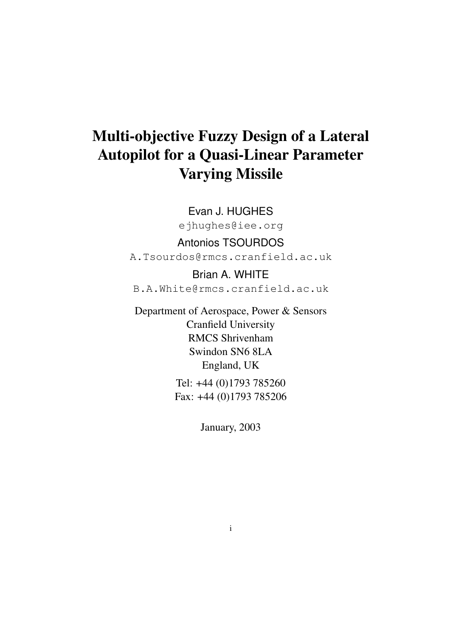# Multi-objective Fuzzy Design of a Lateral Autopilot for a Quasi-Linear Parameter Varying Missile

Evan J. HUGHES ejhughes@iee.org

Antonios TSOURDOS A.Tsourdos@rmcs.cranfield.ac.uk

Brian A. WHITE B.A.White@rmcs.cranfield.ac.uk

Department of Aerospace, Power & Sensors Cranfield University RMCS Shrivenham Swindon SN6 8LA England, UK

Tel: +44 (0)1793 785260 Fax: +44 (0)1793 785206

January, 2003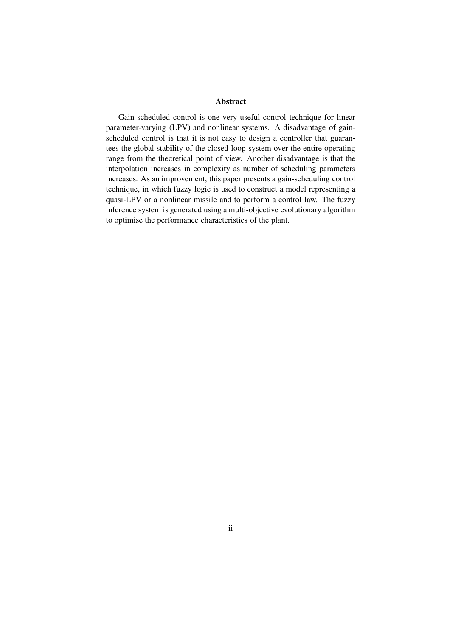#### Abstract

Gain scheduled control is one very useful control technique for linear parameter-varying (LPV) and nonlinear systems. A disadvantage of gainscheduled control is that it is not easy to design a controller that guarantees the global stability of the closed-loop system over the entire operating range from the theoretical point of view. Another disadvantage is that the interpolation increases in complexity as number of scheduling parameters increases. As an improvement, this paper presents a gain-scheduling control technique, in which fuzzy logic is used to construct a model representing a quasi-LPV or a nonlinear missile and to perform a control law. The fuzzy inference system is generated using a multi-objective evolutionary algorithm to optimise the performance characteristics of the plant.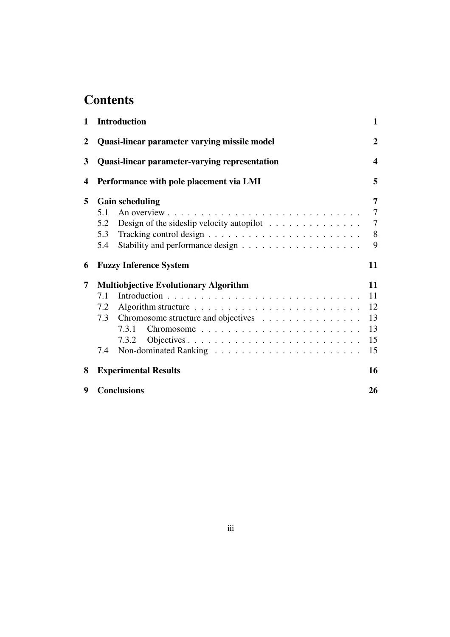# **Contents**

| $\mathbf{1}$ | <b>Introduction</b>                                                                                                               | $\mathbf{1}$                                    |
|--------------|-----------------------------------------------------------------------------------------------------------------------------------|-------------------------------------------------|
| 2            | Quasi-linear parameter varying missile model                                                                                      | $\overline{2}$                                  |
| 3            | <b>Quasi-linear parameter-varying representation</b>                                                                              | $\boldsymbol{4}$                                |
| 4            | Performance with pole placement via LMI                                                                                           | 5                                               |
| 5            | <b>Gain scheduling</b><br>5.1<br>Design of the sideslip velocity autopilot $\dots \dots \dots \dots \dots$<br>5.2<br>5.3<br>5.4   | 7<br>$\overline{7}$<br>$\overline{7}$<br>8<br>9 |
| 6            | <b>Fuzzy Inference System</b>                                                                                                     | 11                                              |
| 7            | <b>Multiobjective Evolutionary Algorithm</b><br>7.1<br>7.2<br>Chromosome structure and objectives<br>7.3<br>7.3.1<br>7.3.2<br>7.4 | 11<br>11<br>12<br>13<br>13<br>15<br>15          |
| 8            | <b>Experimental Results</b>                                                                                                       | 16                                              |
| 9            | <b>Conclusions</b>                                                                                                                | 26                                              |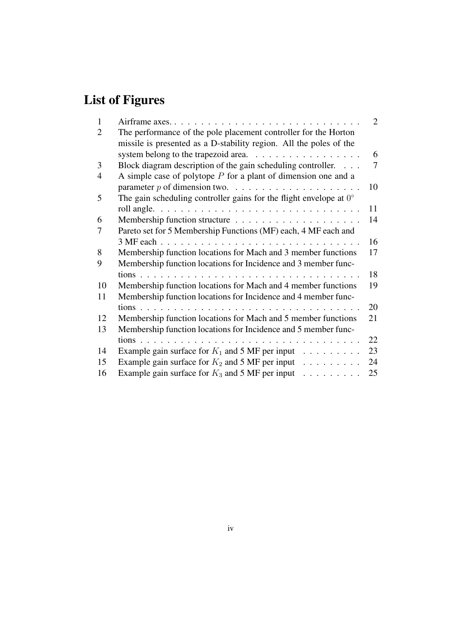# List of Figures

| 1  |                                                                                                                                       | 2  |
|----|---------------------------------------------------------------------------------------------------------------------------------------|----|
| 2  | The performance of the pole placement controller for the Horton<br>missile is presented as a D-stability region. All the poles of the |    |
|    |                                                                                                                                       | 6  |
| 3  | Block diagram description of the gain scheduling controller.                                                                          | 7  |
| 4  | A simple case of polytope $P$ for a plant of dimension one and a                                                                      |    |
|    |                                                                                                                                       | 10 |
| 5  | The gain scheduling controller gains for the flight envelope at $0^{\circ}$                                                           |    |
|    |                                                                                                                                       | 11 |
| 6  |                                                                                                                                       | 14 |
| 7  | Pareto set for 5 Membership Functions (MF) each, 4 MF each and                                                                        |    |
|    | 3 MF each.                                                                                                                            | 16 |
| 8  | Membership function locations for Mach and 3 member functions                                                                         | 17 |
| 9  | Membership function locations for Incidence and 3 member func-                                                                        |    |
|    |                                                                                                                                       | 18 |
| 10 | Membership function locations for Mach and 4 member functions                                                                         | 19 |
| 11 | Membership function locations for Incidence and 4 member func-                                                                        |    |
|    | tions                                                                                                                                 | 20 |
| 12 | Membership function locations for Mach and 5 member functions                                                                         | 21 |
| 13 | Membership function locations for Incidence and 5 member func-                                                                        |    |
|    | and the contract of the<br>and the state of the state of the                                                                          | 22 |
| 14 | Example gain surface for $K_1$ and 5 MF per input                                                                                     | 23 |
| 15 | Example gain surface for $K_2$ and 5 MF per input                                                                                     | 24 |
| 16 | Example gain surface for $K_3$ and 5 MF per input                                                                                     | 25 |
|    |                                                                                                                                       |    |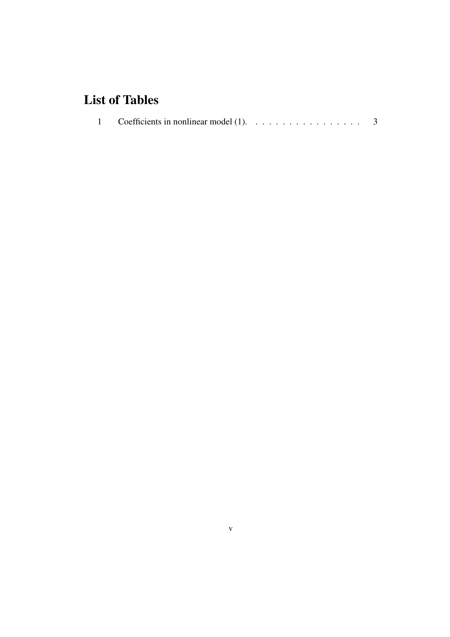# List of Tables

|  | 1 Coefficients in nonlinear model (1). $\dots \dots \dots \dots \dots \dots$ 3 |  |  |
|--|--------------------------------------------------------------------------------|--|--|
|--|--------------------------------------------------------------------------------|--|--|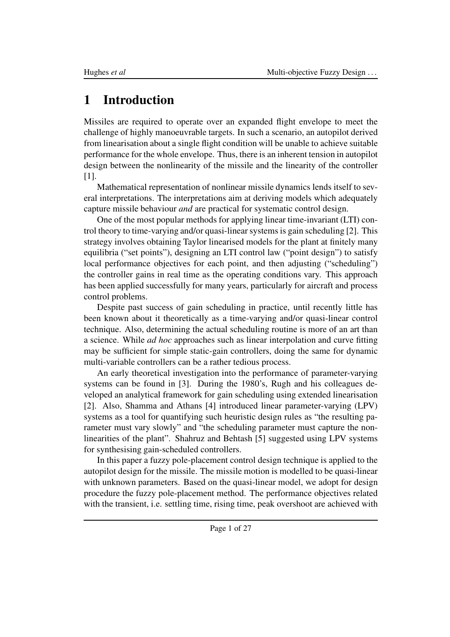# 1 Introduction

Missiles are required to operate over an expanded flight envelope to meet the challenge of highly manoeuvrable targets. In such a scenario, an autopilot derived from linearisation about a single flight condition will be unable to achieve suitable performance for the whole envelope. Thus, there is an inherent tension in autopilot design between the nonlinearity of the missile and the linearity of the controller [1].

Mathematical representation of nonlinear missile dynamics lends itself to several interpretations. The interpretations aim at deriving models which adequately capture missile behaviour *and* are practical for systematic control design.

One of the most popular methods for applying linear time-invariant (LTI) control theory to time-varying and/or quasi-linear systems is gain scheduling [2]. This strategy involves obtaining Taylor linearised models for the plant at finitely many equilibria ("set points"), designing an LTI control law ("point design") to satisfy local performance objectives for each point, and then adjusting ("scheduling") the controller gains in real time as the operating conditions vary. This approach has been applied successfully for many years, particularly for aircraft and process control problems.

Despite past success of gain scheduling in practice, until recently little has been known about it theoretically as a time-varying and/or quasi-linear control technique. Also, determining the actual scheduling routine is more of an art than a science. While *ad hoc* approaches such as linear interpolation and curve fitting may be sufficient for simple static-gain controllers, doing the same for dynamic multi-variable controllers can be a rather tedious process.

An early theoretical investigation into the performance of parameter-varying systems can be found in [3]. During the 1980's, Rugh and his colleagues developed an analytical framework for gain scheduling using extended linearisation [2]. Also, Shamma and Athans [4] introduced linear parameter-varying (LPV) systems as a tool for quantifying such heuristic design rules as "the resulting parameter must vary slowly" and "the scheduling parameter must capture the nonlinearities of the plant". Shahruz and Behtash [5] suggested using LPV systems for synthesising gain-scheduled controllers.

In this paper a fuzzy pole-placement control design technique is applied to the autopilot design for the missile. The missile motion is modelled to be quasi-linear with unknown parameters. Based on the quasi-linear model, we adopt for design procedure the fuzzy pole-placement method. The performance objectives related with the transient, i.e. settling time, rising time, peak overshoot are achieved with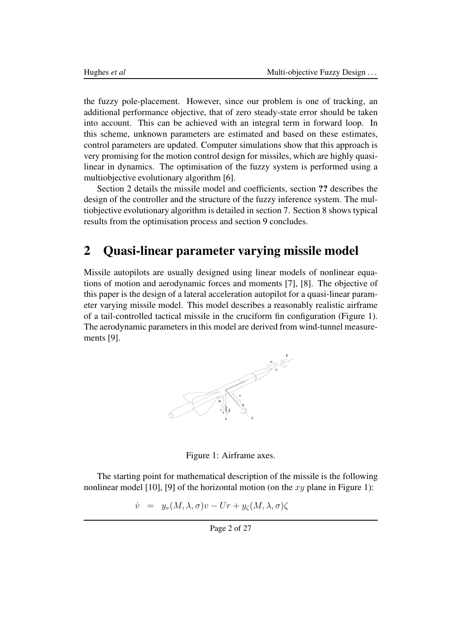the fuzzy pole-placement. However, since our problem is one of tracking, an additional performance objective, that of zero steady-state error should be taken into account. This can be achieved with an integral term in forward loop. In this scheme, unknown parameters are estimated and based on these estimates, control parameters are updated. Computer simulations show that this approach is very promising for the motion control design for missiles, which are highly quasilinear in dynamics. The optimisation of the fuzzy system is performed using a multiobjective evolutionary algorithm [6].

Section 2 details the missile model and coefficients, section ?? describes the design of the controller and the structure of the fuzzy inference system. The multiobjective evolutionary algorithm is detailed in section 7. Section 8 shows typical results from the optimisation process and section 9 concludes.

## 2 Quasi-linear parameter varying missile model

Missile autopilots are usually designed using linear models of nonlinear equations of motion and aerodynamic forces and moments [7], [8]. The objective of this paper is the design of a lateral acceleration autopilot for a quasi-linear parameter varying missile model. This model describes a reasonably realistic airframe of a tail-controlled tactical missile in the cruciform fin configuration (Figure 1). The aerodynamic parameters in this model are derived from wind-tunnel measurements [9].



Figure 1: Airframe axes.

The starting point for mathematical description of the missile is the following nonlinear model [10], [9] of the horizontal motion (on the  $xy$  plane in Figure 1):

 $\dot{v} = y_v(M, \lambda, \sigma)v - Ur + y_{\zeta}(M, \lambda, \sigma)\zeta$ 

Page 2 of 27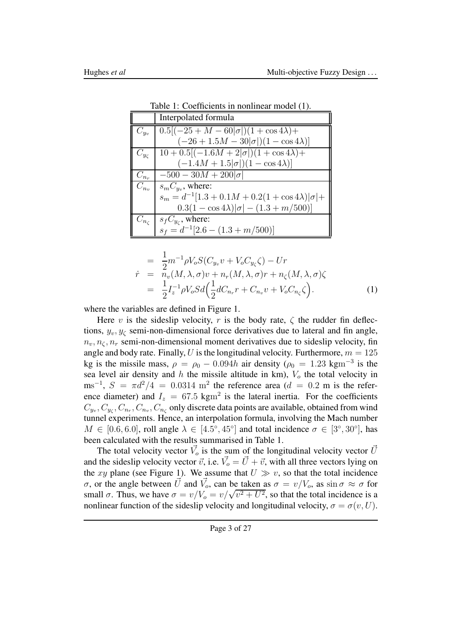|               | Interpolated formula                                         |  |
|---------------|--------------------------------------------------------------|--|
| $C_{y_v}$     | $0.5[(-25+M-60]\sigma])(1+\cos 4\lambda)+$                   |  |
|               | $(-26 + 1.5M - 30 \sigma )(1 - \cos 4\lambda)]$              |  |
| $C_{y_\zeta}$ | $10 + 0.5[(-1.6M + 2]\sigma])(1 + \cos 4\lambda) +$          |  |
|               | $(-1.4M + 1.5 \sigma )(1 - \cos 4\lambda)]$                  |  |
| $C_{n_r}$     | $-500 - 30M + 200 \sigma $                                   |  |
| $C_{n_v}$     | $s_m C_{y_v}$ , where:                                       |  |
|               | $s_m = d^{-1}[1.3 + 0.1M + 0.2(1 + \cos 4\lambda)]\sigma$  + |  |
|               | $0.3(1-\cos 4\lambda) \sigma -(1.3+m/500) $                  |  |
|               | $C_{n_c}$   $s_f C_{y_c}$ , where:                           |  |
|               | $s_f = d^{-1}[2.6 - (1.3 + m/500)]$                          |  |

Table 1: Coefficients in nonlinear model (1).

$$
= \frac{1}{2}m^{-1}\rho V_o S(C_{y_v}v + V_o C_{y_\zeta}\zeta) - Ur
$$
  
\n
$$
\dot{r} = n_v(M, \lambda, \sigma)v + n_r(M, \lambda, \sigma)r + n_\zeta(M, \lambda, \sigma)\zeta
$$
  
\n
$$
= \frac{1}{2}I_z^{-1}\rho V_o Sd\Big(\frac{1}{2}dC_{n_r}r + C_{n_v}v + V_o C_{n_\zeta}\zeta\Big).
$$
 (1)

where the variables are defined in Figure 1.

Here v is the sideslip velocity, r is the body rate,  $\zeta$  the rudder fin deflections,  $y_v, y_c$  semi-non-dimensional force derivatives due to lateral and fin angle,  $n_v, n_c, n_r$  semi-non-dimensional moment derivatives due to sideslip velocity, fin angle and body rate. Finally, U is the longitudinal velocity. Furthermore,  $m = 125$ kg is the missile mass,  $\rho = \rho_0 - 0.094h$  air density ( $\rho_0 = 1.23$  kgm<sup>-3</sup> is the sea level air density and  $h$  the missile altitude in km),  $V<sub>o</sub>$  the total velocity in ms<sup>-1</sup>,  $S = \pi d^2/4 = 0.0314$  m<sup>2</sup> the reference area (d = 0.2 m is the reference diameter) and  $I_z = 67.5 \text{ kgm}^2$  is the lateral inertia. For the coefficients  $C_{y_v}, C_{y_\zeta}, C_{n_r}, C_{n_v}, C_{n_\zeta}$  only discrete data points are available, obtained from wind tunnel experiments. Hence, an interpolation formula, involving the Mach number  $M \in [0.6, 6.0]$ , roll angle  $\lambda \in [4.5^{\circ}, 45^{\circ}]$  and total incidence  $\sigma \in [3^{\circ}, 30^{\circ}]$ , has been calculated with the results summarised in Table 1.

The total velocity vector  $\vec{V}_o$  is the sum of the longitudinal velocity vector  $\vec{U}$ and the sideslip velocity vector  $\vec{v}$ , i.e.  $\vec{V}_o = \vec{U} + \vec{v}$ , with all three vectors lying on the xy plane (see Figure 1). We assume that  $U \gg v$ , so that the total incidence σ, or the angle between  $\vec{U}$  and  $\vec{V}_o$ , can be taken as  $\sigma = v/V_o$ , as  $\sin \sigma \approx \sigma$  for small  $\sigma$ . Thus, we have  $\sigma = v/V_o = v/\sqrt{v^2 + U^2}$ , so that the total incidence is a nonlinear function of the sideslip velocity and longitudinal velocity,  $\sigma = \sigma(v, U)$ .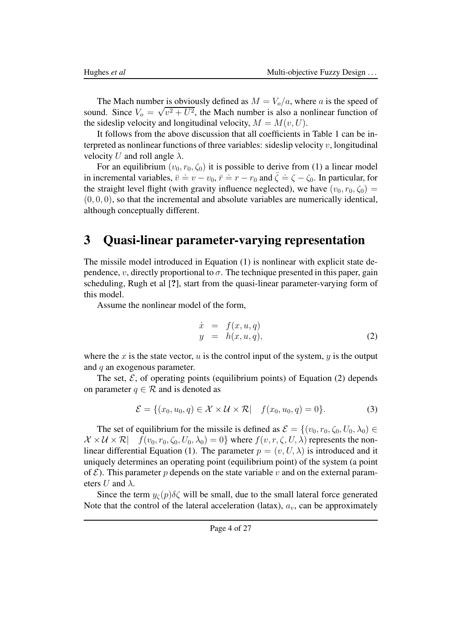The Mach number is obviously defined as  $M = V_o/a$ , where a is the speed of sound. Since  $V_0 = \sqrt{v^2 + U^2}$ , the Mach number is also a nonlinear function of the sideslip velocity and longitudinal velocity,  $M = M(v, U)$ .

It follows from the above discussion that all coefficients in Table 1 can be interpreted as nonlinear functions of three variables: sideslip velocity  $v$ , longitudinal velocity U and roll angle  $\lambda$ .

For an equilibrium  $(v_0, r_0, \zeta_0)$  it is possible to derive from (1) a linear model in incremental variables,  $\bar{v} = v - v_0$ ,  $\bar{r} = r - r_0$  and  $\bar{\zeta} = \zeta - \zeta_0$ . In particular, for the straight level flight (with gravity influence neglected), we have  $(v_0, r_0, \zeta_0)$  =  $(0, 0, 0)$ , so that the incremental and absolute variables are numerically identical, although conceptually different.

### 3 Quasi-linear parameter-varying representation

The missile model introduced in Equation (1) is nonlinear with explicit state dependence, v, directly proportional to  $\sigma$ . The technique presented in this paper, gain scheduling, Rugh et al [?], start from the quasi-linear parameter-varying form of this model.

Assume the nonlinear model of the form,

$$
\begin{array}{rcl}\n\dot{x} & = & f(x, u, q) \\
y & = & h(x, u, q),\n\end{array} \tag{2}
$$

where the x is the state vector, u is the control input of the system,  $y$  is the output and  $q$  an exogenous parameter.

The set,  $\mathcal{E}$ , of operating points (equilibrium points) of Equation (2) depends on parameter  $q \in \mathcal{R}$  and is denoted as

$$
\mathcal{E} = \{ (x_0, u_0, q) \in \mathcal{X} \times \mathcal{U} \times \mathcal{R} | \quad f(x_0, u_0, q) = 0 \}.
$$
 (3)

The set of equilibrium for the missile is defined as  $\mathcal{E} = \{(v_0, r_0, \zeta_0, U_0, \lambda_0) \in$  $\mathcal{X} \times \mathcal{U} \times \mathcal{R}$   $f(v_0, r_0, \zeta_0, U_0, \lambda_0) = 0$  where  $f(v, r, \zeta, U, \lambda)$  represents the nonlinear differential Equation (1). The parameter  $p = (v, U, \lambda)$  is introduced and it uniquely determines an operating point (equilibrium point) of the system (a point of  $\mathcal E$ ). This parameter p depends on the state variable v and on the external parameters U and  $\lambda$ .

Since the term  $y_{\zeta}(p)\delta\zeta$  will be small, due to the small lateral force generated Note that the control of the lateral acceleration (latax),  $a<sub>v</sub>$ , can be approximately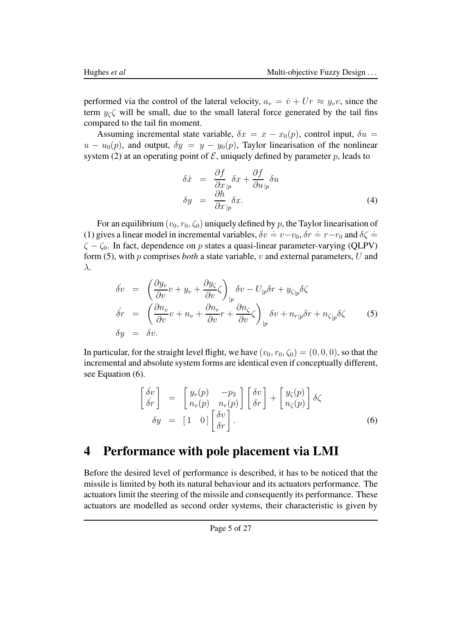performed via the control of the lateral velocity,  $a_v = \dot{v} + Ur \approx y_v v$ , since the term  $y_c \zeta$  will be small, due to the small lateral force generated by the tail fins compared to the tail fin moment.

Assuming incremental state variable,  $\delta x = x - x_0(p)$ , control input,  $\delta u =$  $u - u_0(p)$ , and output,  $\delta y = y - y_0(p)$ , Taylor linearisation of the nonlinear system (2) at an operating point of  $\mathcal E$ , uniquely defined by parameter p, leads to

$$
\delta \dot{x} = \frac{\partial f}{\partial x}_{|p} \delta x + \frac{\partial f}{\partial u}_{|p} \delta u \n\delta y = \frac{\partial h}{\partial x}_{|p} \delta x.
$$
\n(4)

For an equilibrium  $(v_0, r_0, \zeta_0)$  uniquely defined by p, the Taylor linearisation of (1) gives a linear model in incremental variables,  $\delta v = v - v_0$ ,  $\delta r = r - r_0$  and  $\delta \zeta =$  $\zeta - \zeta_0$ . In fact, dependence on p states a quasi-linear parameter-varying (QLPV) form (5), with p comprises *both* a state variable, v and external parameters, U and λ.

$$
\begin{array}{rcl}\n\dot{\delta v} & = & \left(\frac{\partial y_v}{\partial v}v + y_v + \frac{\partial y_\zeta}{\partial v}\zeta\right)_{|p}\delta v - U_{|p}\delta r + y_{\zeta|p}\delta\zeta \\
\dot{\delta r} & = & \left(\frac{\partial n_v}{\partial v}v + n_v + \frac{\partial n_r}{\partial v}r + \frac{\partial n_\zeta}{\partial v}\zeta\right)_{|p}\delta v + n_{r|p}\delta r + n_{\zeta|p}\delta\zeta\n\end{array} \tag{5}
$$
\n
$$
\delta y = \delta v.
$$

In particular, for the straight level flight, we have  $(v_0, r_0, \zeta_0) = (0, 0, 0)$ , so that the incremental and absolute system forms are identical even if conceptually different, see Equation (6).

$$
\begin{bmatrix}\n\dot{\delta}v \\
\dot{\delta}r\n\end{bmatrix} = \begin{bmatrix}\ny_v(p) & -p_2 \\
n_v(p) & n_r(p)\n\end{bmatrix} \begin{bmatrix}\n\delta v \\
\delta r\n\end{bmatrix} + \begin{bmatrix}\ny_{\zeta}(p) \\
n_{\zeta}(p)\n\end{bmatrix} \delta \zeta
$$
\n
$$
\delta y = \begin{bmatrix} 1 & 0 \end{bmatrix} \begin{bmatrix} \delta v \\
\delta r \end{bmatrix}.
$$
\n(6)

### 4 Performance with pole placement via LMI

Before the desired level of performance is described, it has to be noticed that the missile is limited by both its natural behaviour and its actuators performance. The actuators limit the steering of the missile and consequently its performance. These actuators are modelled as second order systems, their characteristic is given by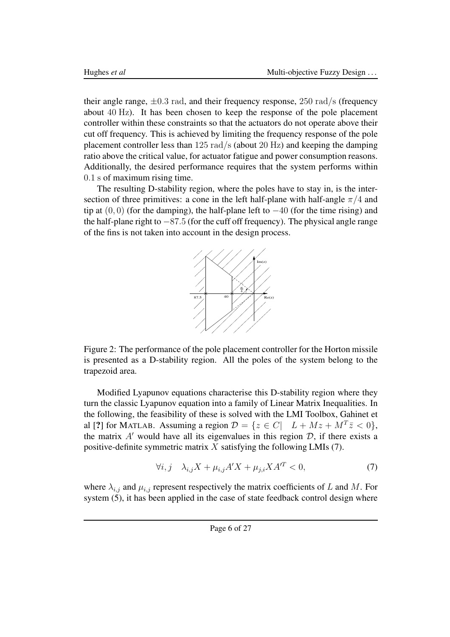their angle range,  $\pm 0.3$  rad, and their frequency response, 250 rad/s (frequency about 40 Hz). It has been chosen to keep the response of the pole placement controller within these constraints so that the actuators do not operate above their cut off frequency. This is achieved by limiting the frequency response of the pole placement controller less than 125 rad/s (about 20 Hz) and keeping the damping ratio above the critical value, for actuator fatigue and power consumption reasons. Additionally, the desired performance requires that the system performs within 0.1 s of maximum rising time.

The resulting D-stability region, where the poles have to stay in, is the intersection of three primitives: a cone in the left half-plane with half-angle  $\pi/4$  and tip at  $(0, 0)$  (for the damping), the half-plane left to  $-40$  (for the time rising) and the half-plane right to −87.5 (for the cuff off frequency). The physical angle range of the fins is not taken into account in the design process.



Figure 2: The performance of the pole placement controller for the Horton missile is presented as a D-stability region. All the poles of the system belong to the trapezoid area.

Modified Lyapunov equations characterise this D-stability region where they turn the classic Lyapunov equation into a family of Linear Matrix Inequalities. In the following, the feasibility of these is solved with the LMI Toolbox, Gahinet et al [?] for MATLAB. Assuming a region  $\mathcal{D} = \{z \in C | \quad L + Mz + M^T \bar{z} < 0\},\$ the matrix  $A'$  would have all its eigenvalues in this region  $D$ , if there exists a positive-definite symmetric matrix X satisfying the following LMIs  $(7)$ .

$$
\forall i, j \quad \lambda_{i,j} X + \mu_{i,j} A' X + \mu_{j,i} X A'^T < 0,\tag{7}
$$

where  $\lambda_{i,j}$  and  $\mu_{i,j}$  represent respectively the matrix coefficients of L and M. For system (5), it has been applied in the case of state feedback control design where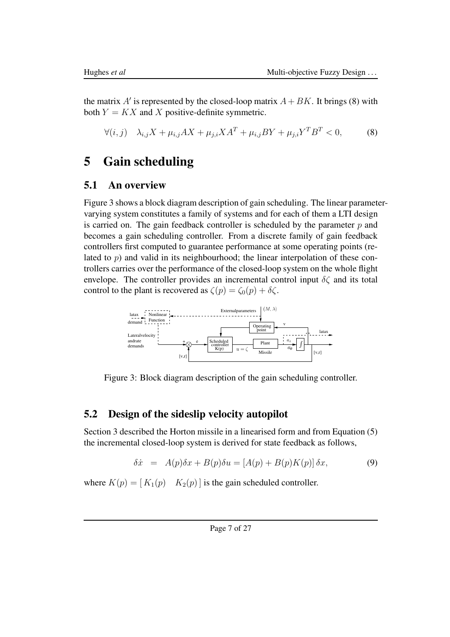the matrix  $A'$  is represented by the closed-loop matrix  $A + BK$ . It brings (8) with both  $Y = KX$  and X positive-definite symmetric.

$$
\forall (i,j) \quad \lambda_{i,j} X + \mu_{i,j} A X + \mu_{j,i} X A^T + \mu_{i,j} B Y + \mu_{j,i} Y^T B^T < 0,\tag{8}
$$

## 5 Gain scheduling

#### 5.1 An overview

Figure 3 shows a block diagram description of gain scheduling. The linear parametervarying system constitutes a family of systems and for each of them a LTI design is carried on. The gain feedback controller is scheduled by the parameter  $p$  and becomes a gain scheduling controller. From a discrete family of gain feedback controllers first computed to guarantee performance at some operating points (related to  $p$ ) and valid in its neighbourhood; the linear interpolation of these controllers carries over the performance of the closed-loop system on the whole flight envelope. The controller provides an incremental control input  $\delta \zeta$  and its total control to the plant is recovered as  $\zeta(p) = \zeta_0(p) + \delta \zeta$ .



Figure 3: Block diagram description of the gain scheduling controller.

#### 5.2 Design of the sideslip velocity autopilot

Section 3 described the Horton missile in a linearised form and from Equation (5) the incremental closed-loop system is derived for state feedback as follows,

$$
\delta \dot{x} = A(p)\delta x + B(p)\delta u = [A(p) + B(p)K(p)]\delta x, \tag{9}
$$

where  $K(p) = [K_1(p) \quad K_2(p)]$  is the gain scheduled controller.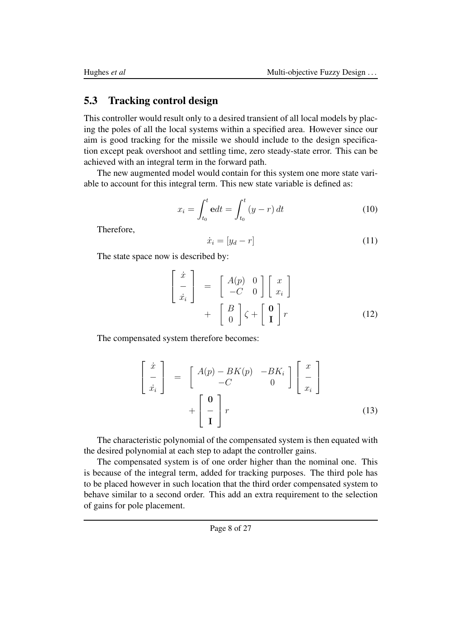#### 5.3 Tracking control design

This controller would result only to a desired transient of all local models by placing the poles of all the local systems within a specified area. However since our aim is good tracking for the missile we should include to the design specification except peak overshoot and settling time, zero steady-state error. This can be achieved with an integral term in the forward path.

The new augmented model would contain for this system one more state variable to account for this integral term. This new state variable is defined as:

$$
x_i = \int_{t_0}^t \mathbf{e} dt = \int_{t_0}^t (y - r) dt \tag{10}
$$

Therefore,

$$
\dot{x}_i = [y_d - r] \tag{11}
$$

The state space now is described by:

$$
\begin{bmatrix}\n\dot{x} \\
-\dot{x}_i\n\end{bmatrix} = \begin{bmatrix}\nA(p) & 0 \\
-C & 0\n\end{bmatrix} \begin{bmatrix}\nx \\
x_i\n\end{bmatrix} + \begin{bmatrix}\nB \\
0\n\end{bmatrix} \zeta + \begin{bmatrix}\n0 \\
1\n\end{bmatrix} r
$$
\n(12)

The compensated system therefore becomes:

$$
\begin{bmatrix}\n\dot{x} \\
-\dot{x}_i\n\end{bmatrix} = \begin{bmatrix}\nA(p) - BK(p) & -BK_i \\
-C & 0\n\end{bmatrix} \begin{bmatrix}\nx \\
-\frac{1}{x_i}\n\end{bmatrix} + \begin{bmatrix}\n0 \\
-\frac{1}{x}\n\end{bmatrix} r
$$
\n(13)

The characteristic polynomial of the compensated system is then equated with the desired polynomial at each step to adapt the controller gains.

The compensated system is of one order higher than the nominal one. This is because of the integral term, added for tracking purposes. The third pole has to be placed however in such location that the third order compensated system to behave similar to a second order. This add an extra requirement to the selection of gains for pole placement.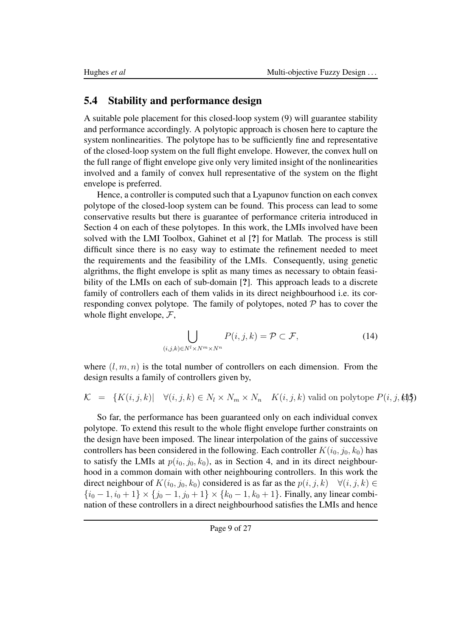#### 5.4 Stability and performance design

A suitable pole placement for this closed-loop system (9) will guarantee stability and performance accordingly. A polytopic approach is chosen here to capture the system nonlinearities. The polytope has to be sufficiently fine and representative of the closed-loop system on the full flight envelope. However, the convex hull on the full range of flight envelope give only very limited insight of the nonlinearities involved and a family of convex hull representative of the system on the flight envelope is preferred.

Hence, a controller is computed such that a Lyapunov function on each convex polytope of the closed-loop system can be found. This process can lead to some conservative results but there is guarantee of performance criteria introduced in Section 4 on each of these polytopes. In this work, the LMIs involved have been solved with the LMI Toolbox, Gahinet et al [?] for Matlab. The process is still difficult since there is no easy way to estimate the refinement needed to meet the requirements and the feasibility of the LMIs. Consequently, using genetic algrithms, the flight envelope is split as many times as necessary to obtain feasibility of the LMIs on each of sub-domain [?]. This approach leads to a discrete family of controllers each of them valids in its direct neighbourhood i.e. its corresponding convex polytope. The family of polytopes, noted  $P$  has to cover the whole flight envelope,  $\mathcal{F}$ ,

$$
\bigcup_{(i,j,k)\in N^l\times N^m\times N^n} P(i,j,k) = \mathcal{P} \subset \mathcal{F},\tag{14}
$$

where  $(l, m, n)$  is the total number of controllers on each dimension. From the design results a family of controllers given by,

$$
\mathcal{K} = \{ K(i, j, k) | \quad \forall (i, j, k) \in N_l \times N_m \times N_n \quad K(i, j, k) \text{ valid on polytope } P(i, j, k) \}
$$

So far, the performance has been guaranteed only on each individual convex polytope. To extend this result to the whole flight envelope further constraints on the design have been imposed. The linear interpolation of the gains of successive controllers has been considered in the following. Each controller  $K(i_0, j_0, k_0)$  has to satisfy the LMIs at  $p(i_0, j_0, k_0)$ , as in Section 4, and in its direct neighbourhood in a common domain with other neighbouring controllers. In this work the direct neighbour of  $K(i_0, j_0, k_0)$  considered is as far as the  $p(i, j, k)$   $\forall (i, j, k) \in$  $\{i_0 - 1, i_0 + 1\} \times \{j_0 - 1, j_0 + 1\} \times \{k_0 - 1, k_0 + 1\}$ . Finally, any linear combination of these controllers in a direct neighbourhood satisfies the LMIs and hence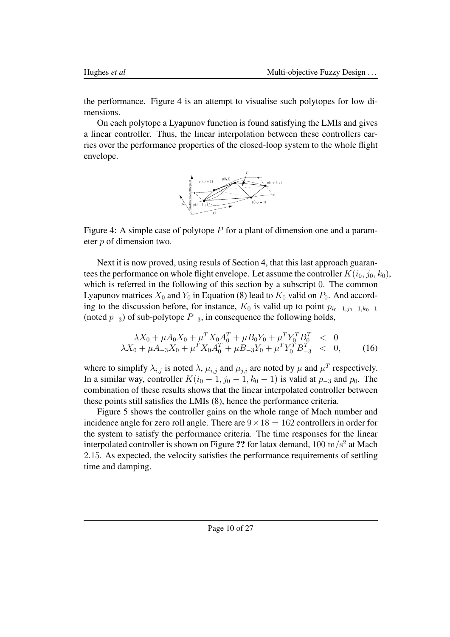the performance. Figure 4 is an attempt to visualise such polytopes for low dimensions.

On each polytope a Lyapunov function is found satisfying the LMIs and gives a linear controller. Thus, the linear interpolation between these controllers carries over the performance properties of the closed-loop system to the whole flight envelope.



Figure 4: A simple case of polytope  $P$  for a plant of dimension one and a parameter p of dimension two.

Next it is now proved, using resuls of Section 4, that this last approach guarantees the performance on whole flight envelope. Let assume the controller  $K(i_0, j_0, k_0)$ , which is referred in the following of this section by a subscript 0. The common Lyapunov matrices  $X_0$  and  $Y_0$  in Equation (8) lead to  $K_0$  valid on  $P_0$ . And according to the discussion before, for instance,  $K_0$  is valid up to point  $p_{i_0-1,j_0-1,k_0-1}$ (noted  $p_{-3}$ ) of sub-polytope  $P_{-3}$ , in consequence the following holds,

$$
\lambda X_0 + \mu A_0 X_0 + \mu^T X_0 A_0^T + \mu B_0 Y_0 + \mu^T Y_0^T B_0^T < 0
$$
  

$$
\lambda X_0 + \mu A_{-3} X_0 + \mu^T X_0 A_0^T + \mu B_{-3} Y_0 + \mu^T Y_0^T B_{-3}^T < 0,
$$
 (16)

where to simplify  $\lambda_{i,j}$  is noted  $\lambda$ ,  $\mu_{i,j}$  and  $\mu_{j,i}$  are noted by  $\mu$  and  $\mu^T$  respectively. In a similar way, controller  $K(i_0 - 1, j_0 - 1, k_0 - 1)$  is valid at  $p_{-3}$  and  $p_0$ . The combination of these results shows that the linear interpolated controller between these points still satisfies the LMIs (8), hence the performance criteria.

Figure 5 shows the controller gains on the whole range of Mach number and incidence angle for zero roll angle. There are  $9 \times 18 = 162$  controllers in order for the system to satisfy the performance criteria. The time responses for the linear interpolated controller is shown on Figure ?? for latax demand,  $100\ \mathrm{m/s^2}$  at Mach 2.15. As expected, the velocity satisfies the performance requirements of settling time and damping.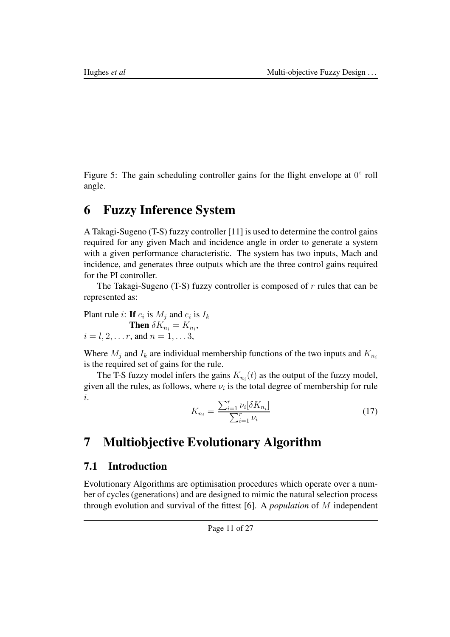Figure 5: The gain scheduling controller gains for the flight envelope at  $0^{\circ}$  roll angle.

## 6 Fuzzy Inference System

A Takagi-Sugeno (T-S) fuzzy controller [11] is used to determine the control gains required for any given Mach and incidence angle in order to generate a system with a given performance characteristic. The system has two inputs, Mach and incidence, and generates three outputs which are the three control gains required for the PI controller.

The Takagi-Sugeno (T-S) fuzzy controller is composed of  $r$  rules that can be represented as:

Plant rule *i*: If  $e_i$  is  $M_j$  and  $e_i$  is  $I_k$ 

**Then**  $\delta K_{n_i} = K_{n_i}$ ,  $i = l, 2, \ldots r$ , and  $n = 1, \ldots 3$ ,

Where  $M_i$  and  $I_k$  are individual membership functions of the two inputs and  $K_{n_i}$ is the required set of gains for the rule.

The T-S fuzzy model infers the gains  $K_{n_i}(t)$  as the output of the fuzzy model, given all the rules, as follows, where  $\nu_i$  is the total degree of membership for rule i.

$$
K_{n_i} = \frac{\sum_{i=1}^{r} \nu_i[\delta K_{n_i}]}{\sum_{i=1}^{r} \nu_i}
$$
 (17)

# 7 Multiobjective Evolutionary Algorithm

### 7.1 Introduction

Evolutionary Algorithms are optimisation procedures which operate over a number of cycles (generations) and are designed to mimic the natural selection process through evolution and survival of the fittest [6]. A *population* of M independent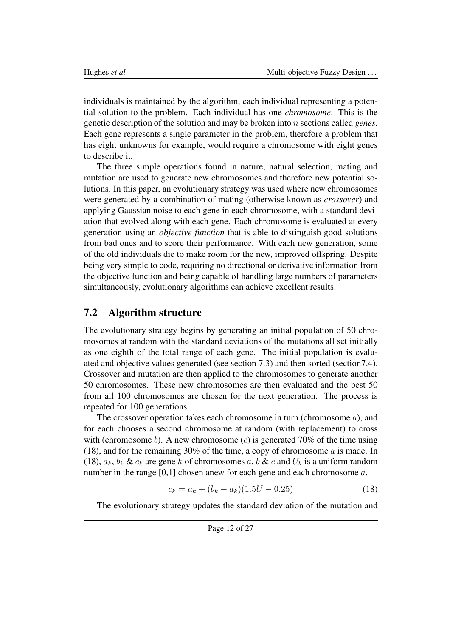individuals is maintained by the algorithm, each individual representing a potential solution to the problem. Each individual has one *chromosome*. This is the genetic description of the solution and may be broken into n sections called *genes*. Each gene represents a single parameter in the problem, therefore a problem that has eight unknowns for example, would require a chromosome with eight genes to describe it.

The three simple operations found in nature, natural selection, mating and mutation are used to generate new chromosomes and therefore new potential solutions. In this paper, an evolutionary strategy was used where new chromosomes were generated by a combination of mating (otherwise known as *crossover*) and applying Gaussian noise to each gene in each chromosome, with a standard deviation that evolved along with each gene. Each chromosome is evaluated at every generation using an *objective function* that is able to distinguish good solutions from bad ones and to score their performance. With each new generation, some of the old individuals die to make room for the new, improved offspring. Despite being very simple to code, requiring no directional or derivative information from the objective function and being capable of handling large numbers of parameters simultaneously, evolutionary algorithms can achieve excellent results.

#### 7.2 Algorithm structure

The evolutionary strategy begins by generating an initial population of 50 chromosomes at random with the standard deviations of the mutations all set initially as one eighth of the total range of each gene. The initial population is evaluated and objective values generated (see section 7.3) and then sorted (section7.4). Crossover and mutation are then applied to the chromosomes to generate another 50 chromosomes. These new chromosomes are then evaluated and the best 50 from all 100 chromosomes are chosen for the next generation. The process is repeated for 100 generations.

The crossover operation takes each chromosome in turn (chromosome  $a$ ), and for each chooses a second chromosome at random (with replacement) to cross with (chromosome b). A new chromosome (c) is generated 70% of the time using (18), and for the remaining 30% of the time, a copy of chromosome a is made. In (18),  $a_k$ ,  $b_k$  &  $c_k$  are gene k of chromosomes a, b & c and  $U_k$  is a uniform random number in the range  $[0,1]$  chosen anew for each gene and each chromosome a.

$$
c_k = a_k + (b_k - a_k)(1.5U - 0.25)
$$
 (18)

The evolutionary strategy updates the standard deviation of the mutation and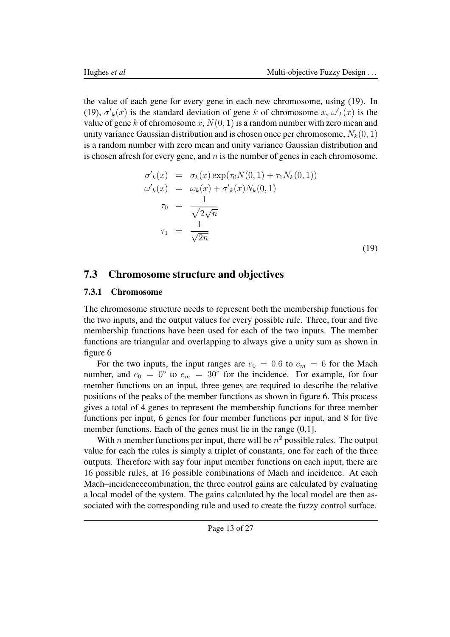the value of each gene for every gene in each new chromosome, using (19). In (19),  $\sigma'_{k}(x)$  is the standard deviation of gene k of chromosome x,  $\omega'_{k}(x)$  is the value of gene k of chromosome x,  $N(0, 1)$  is a random number with zero mean and unity variance Gaussian distribution and is chosen once per chromosome,  $N_k(0, 1)$ is a random number with zero mean and unity variance Gaussian distribution and is chosen afresh for every gene, and  $n$  is the number of genes in each chromosome.

$$
\sigma'_{k}(x) = \sigma_{k}(x) \exp(\tau_{0} N(0, 1) + \tau_{1} N_{k}(0, 1))
$$
  
\n
$$
\omega'_{k}(x) = \omega_{k}(x) + \sigma'_{k}(x) N_{k}(0, 1)
$$
  
\n
$$
\tau_{0} = \frac{1}{\sqrt{2\sqrt{n}}}
$$
  
\n
$$
\tau_{1} = \frac{1}{\sqrt{2n}}
$$
\n(19)

#### 7.3 Chromosome structure and objectives

#### 7.3.1 Chromosome

The chromosome structure needs to represent both the membership functions for the two inputs, and the output values for every possible rule. Three, four and five membership functions have been used for each of the two inputs. The member functions are triangular and overlapping to always give a unity sum as shown in figure 6

For the two inputs, the input ranges are  $e_0 = 0.6$  to  $e_m = 6$  for the Mach number, and  $e_0 = 0^\circ$  to  $e_m = 30^\circ$  for the incidence. For example, for four member functions on an input, three genes are required to describe the relative positions of the peaks of the member functions as shown in figure 6. This process gives a total of 4 genes to represent the membership functions for three member functions per input, 6 genes for four member functions per input, and 8 for five member functions. Each of the genes must lie in the range  $(0,1]$ .

With *n* member functions per input, there will be  $n^2$  possible rules. The output value for each the rules is simply a triplet of constants, one for each of the three outputs. Therefore with say four input member functions on each input, there are 16 possible rules, at 16 possible combinations of Mach and incidence. At each Mach–incidencecombination, the three control gains are calculated by evaluating a local model of the system. The gains calculated by the local model are then associated with the corresponding rule and used to create the fuzzy control surface.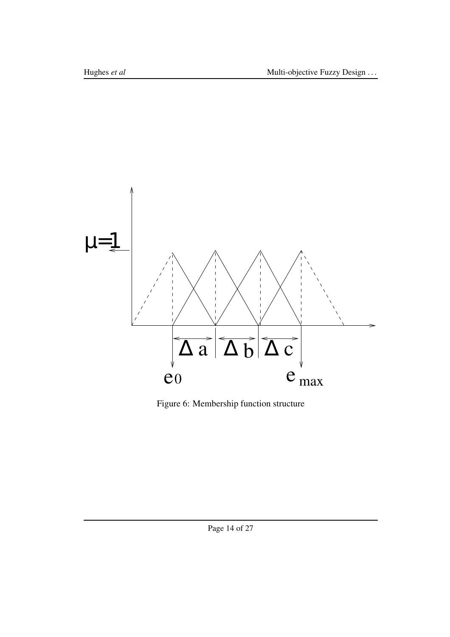

Figure 6: Membership function structure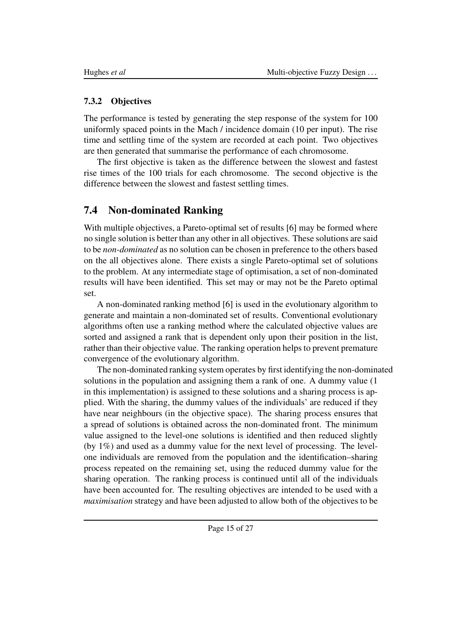#### 7.3.2 Objectives

The performance is tested by generating the step response of the system for 100 uniformly spaced points in the Mach / incidence domain (10 per input). The rise time and settling time of the system are recorded at each point. Two objectives are then generated that summarise the performance of each chromosome.

The first objective is taken as the difference between the slowest and fastest rise times of the 100 trials for each chromosome. The second objective is the difference between the slowest and fastest settling times.

## 7.4 Non-dominated Ranking

With multiple objectives, a Pareto-optimal set of results [6] may be formed where no single solution is better than any other in all objectives. These solutions are said to be *non-dominated* as no solution can be chosen in preference to the others based on the all objectives alone. There exists a single Pareto-optimal set of solutions to the problem. At any intermediate stage of optimisation, a set of non-dominated results will have been identified. This set may or may not be the Pareto optimal set.

A non-dominated ranking method [6] is used in the evolutionary algorithm to generate and maintain a non-dominated set of results. Conventional evolutionary algorithms often use a ranking method where the calculated objective values are sorted and assigned a rank that is dependent only upon their position in the list, rather than their objective value. The ranking operation helps to prevent premature convergence of the evolutionary algorithm.

The non-dominated ranking system operates by first identifying the non-dominated solutions in the population and assigning them a rank of one. A dummy value (1 in this implementation) is assigned to these solutions and a sharing process is applied. With the sharing, the dummy values of the individuals' are reduced if they have near neighbours (in the objective space). The sharing process ensures that a spread of solutions is obtained across the non-dominated front. The minimum value assigned to the level-one solutions is identified and then reduced slightly (by 1%) and used as a dummy value for the next level of processing. The levelone individuals are removed from the population and the identification–sharing process repeated on the remaining set, using the reduced dummy value for the sharing operation. The ranking process is continued until all of the individuals have been accounted for. The resulting objectives are intended to be used with a *maximisation* strategy and have been adjusted to allow both of the objectives to be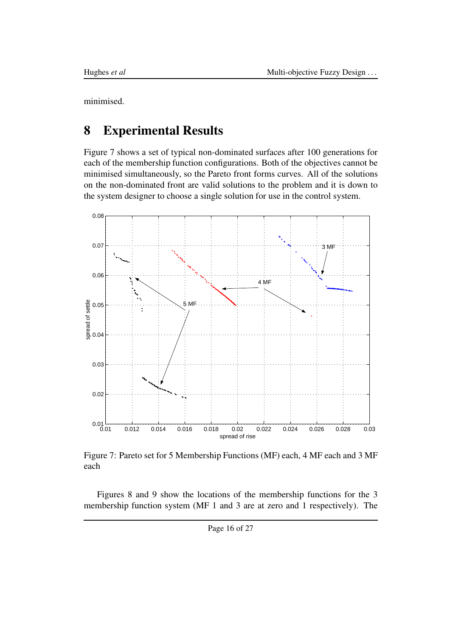minimised.

## 8 Experimental Results

Figure 7 shows a set of typical non-dominated surfaces after 100 generations for each of the membership function configurations. Both of the objectives cannot be minimised simultaneously, so the Pareto front forms curves. All of the solutions on the non-dominated front are valid solutions to the problem and it is down to the system designer to choose a single solution for use in the control system.



Figure 7: Pareto set for 5 Membership Functions (MF) each, 4 MF each and 3 MF each

Figures 8 and 9 show the locations of the membership functions for the 3 membership function system (MF 1 and 3 are at zero and 1 respectively). The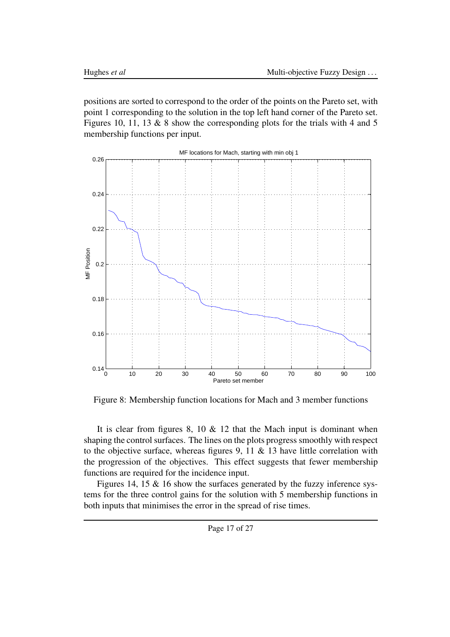positions are sorted to correspond to the order of the points on the Pareto set, with point 1 corresponding to the solution in the top left hand corner of the Pareto set. Figures 10, 11, 13 & 8 show the corresponding plots for the trials with 4 and 5 membership functions per input.



Figure 8: Membership function locations for Mach and 3 member functions

It is clear from figures 8, 10  $\&$  12 that the Mach input is dominant when shaping the control surfaces. The lines on the plots progress smoothly with respect to the objective surface, whereas figures 9, 11  $\&$  13 have little correlation with the progression of the objectives. This effect suggests that fewer membership functions are required for the incidence input.

Figures 14, 15 & 16 show the surfaces generated by the fuzzy inference systems for the three control gains for the solution with 5 membership functions in both inputs that minimises the error in the spread of rise times.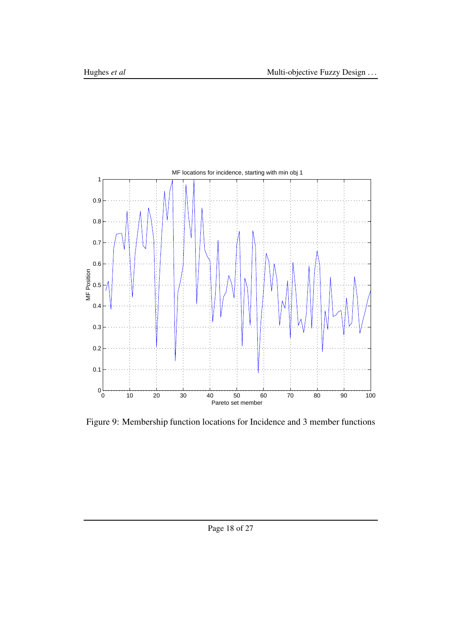

Figure 9: Membership function locations for Incidence and 3 member functions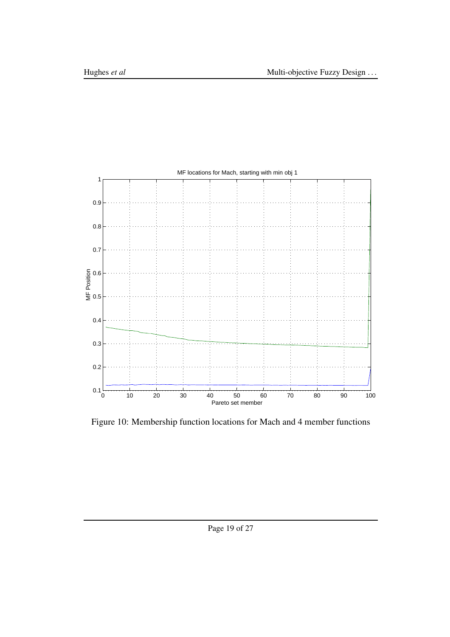

Figure 10: Membership function locations for Mach and 4 member functions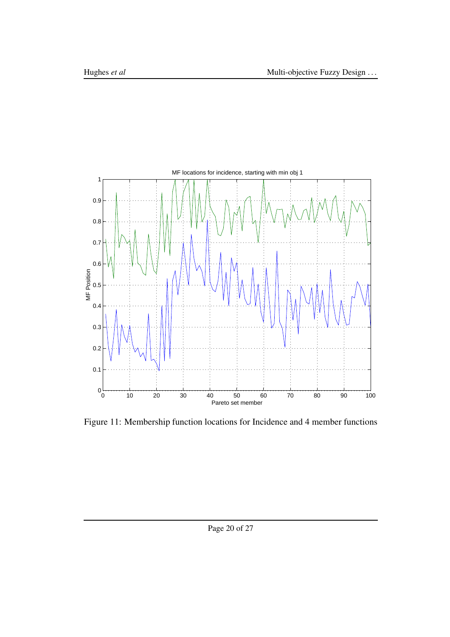

Figure 11: Membership function locations for Incidence and 4 member functions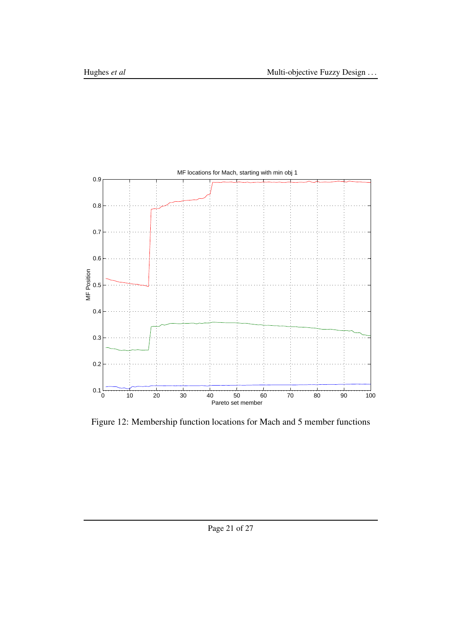

Figure 12: Membership function locations for Mach and 5 member functions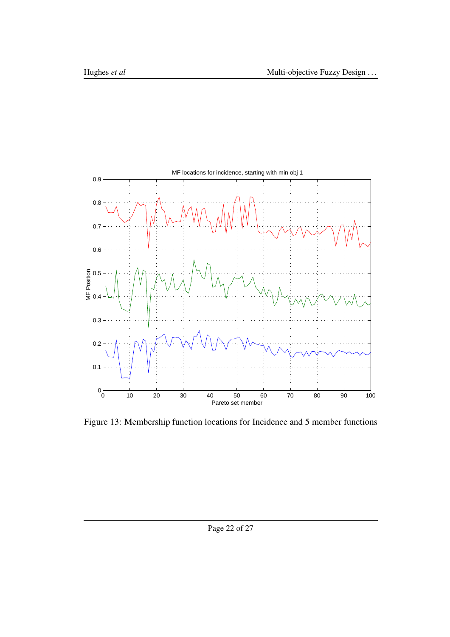

Figure 13: Membership function locations for Incidence and 5 member functions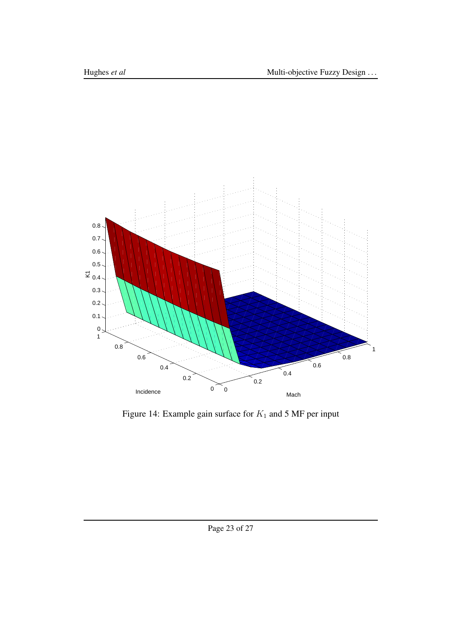

Figure 14: Example gain surface for  $K_1$  and 5 MF per input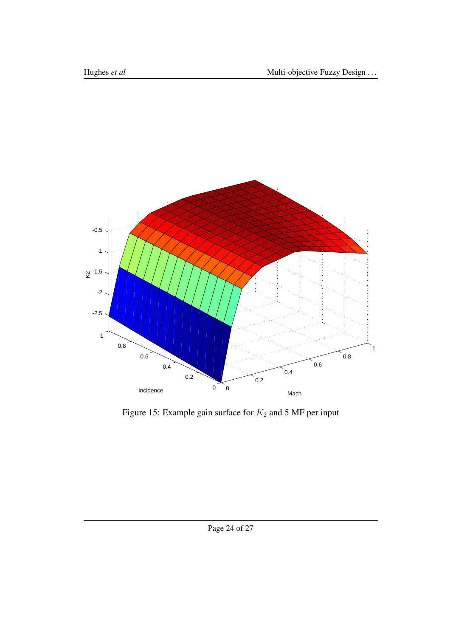

Figure 15: Example gain surface for  $K_2$  and 5 MF per input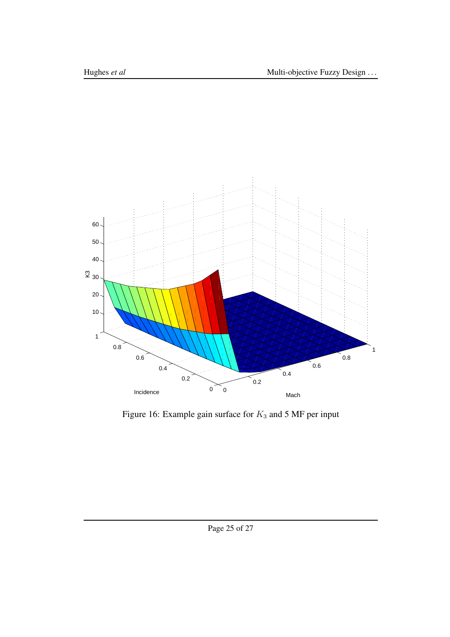

Figure 16: Example gain surface for  $K_3$  and 5 MF per input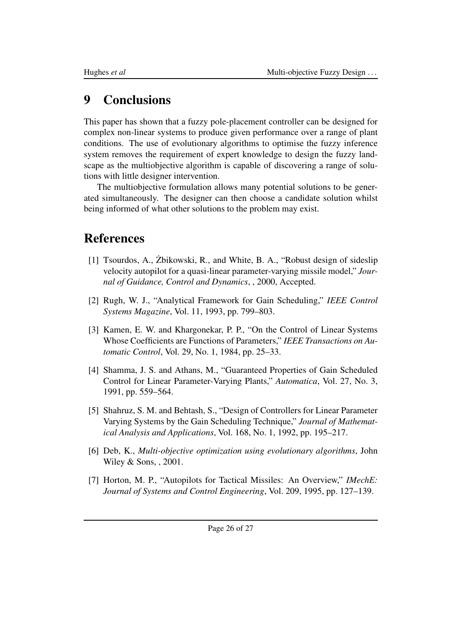## 9 Conclusions

This paper has shown that a fuzzy pole-placement controller can be designed for complex non-linear systems to produce given performance over a range of plant conditions. The use of evolutionary algorithms to optimise the fuzzy inference system removes the requirement of expert knowledge to design the fuzzy landscape as the multiobjective algorithm is capable of discovering a range of solutions with little designer intervention.

The multiobjective formulation allows many potential solutions to be generated simultaneously. The designer can then choose a candidate solution whilst being informed of what other solutions to the problem may exist.

## References

- [1] Tsourdos, A., Żbikowski, R., and White, B. A., "Robust design of sideslip velocity autopilot for a quasi-linear parameter-varying missile model," *Journal of Guidance, Control and Dynamics*, , 2000, Accepted.
- [2] Rugh, W. J., "Analytical Framework for Gain Scheduling," *IEEE Control Systems Magazine*, Vol. 11, 1993, pp. 799–803.
- [3] Kamen, E. W. and Khargonekar, P. P., "On the Control of Linear Systems Whose Coefficients are Functions of Parameters," *IEEE Transactions on Automatic Control*, Vol. 29, No. 1, 1984, pp. 25–33.
- [4] Shamma, J. S. and Athans, M., "Guaranteed Properties of Gain Scheduled Control for Linear Parameter-Varying Plants," *Automatica*, Vol. 27, No. 3, 1991, pp. 559–564.
- [5] Shahruz, S. M. and Behtash, S., "Design of Controllers for Linear Parameter Varying Systems by the Gain Scheduling Technique," *Journal of Mathematical Analysis and Applications*, Vol. 168, No. 1, 1992, pp. 195–217.
- [6] Deb, K., *Multi-objective optimization using evolutionary algorithms*, John Wiley & Sons, , 2001.
- [7] Horton, M. P., "Autopilots for Tactical Missiles: An Overview," *IMechE: Journal of Systems and Control Engineering*, Vol. 209, 1995, pp. 127–139.